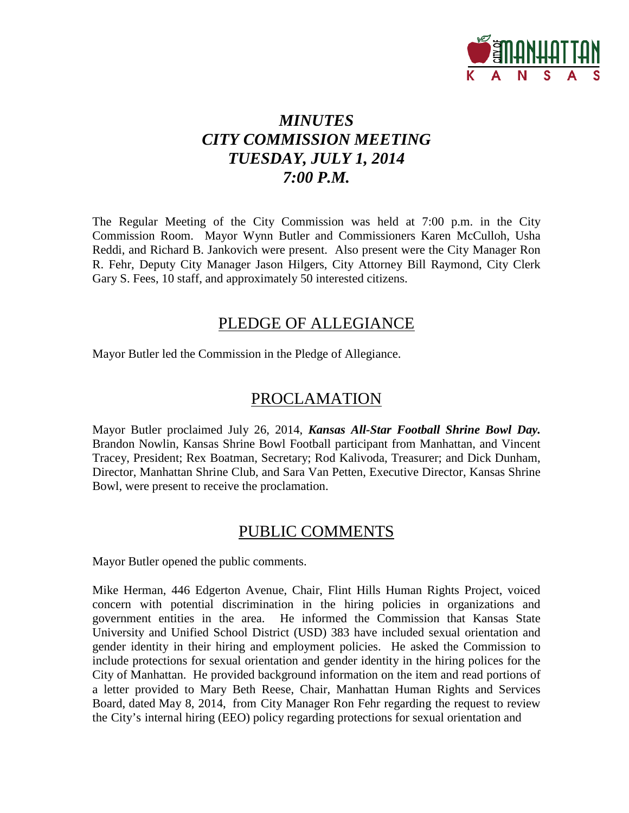

# *MINUTES CITY COMMISSION MEETING TUESDAY, JULY 1, 2014 7:00 P.M.*

The Regular Meeting of the City Commission was held at 7:00 p.m. in the City Commission Room. Mayor Wynn Butler and Commissioners Karen McCulloh, Usha Reddi, and Richard B. Jankovich were present. Also present were the City Manager Ron R. Fehr, Deputy City Manager Jason Hilgers, City Attorney Bill Raymond, City Clerk Gary S. Fees, 10 staff, and approximately 50 interested citizens.

### PLEDGE OF ALLEGIANCE

Mayor Butler led the Commission in the Pledge of Allegiance.

### PROCLAMATION

Mayor Butler proclaimed July 26, 2014, *Kansas All-Star Football Shrine Bowl Day.* Brandon Nowlin, Kansas Shrine Bowl Football participant from Manhattan, and Vincent Tracey, President; Rex Boatman, Secretary; Rod Kalivoda, Treasurer; and Dick Dunham, Director, Manhattan Shrine Club, and Sara Van Petten, Executive Director, Kansas Shrine Bowl, were present to receive the proclamation.

### PUBLIC COMMENTS

Mayor Butler opened the public comments.

Mike Herman, 446 Edgerton Avenue, Chair, Flint Hills Human Rights Project, voiced concern with potential discrimination in the hiring policies in organizations and government entities in the area. He informed the Commission that Kansas State University and Unified School District (USD) 383 have included sexual orientation and gender identity in their hiring and employment policies. He asked the Commission to include protections for sexual orientation and gender identity in the hiring polices for the City of Manhattan. He provided background information on the item and read portions of a letter provided to Mary Beth Reese, Chair, Manhattan Human Rights and Services Board, dated May 8, 2014, from City Manager Ron Fehr regarding the request to review the City's internal hiring (EEO) policy regarding protections for sexual orientation and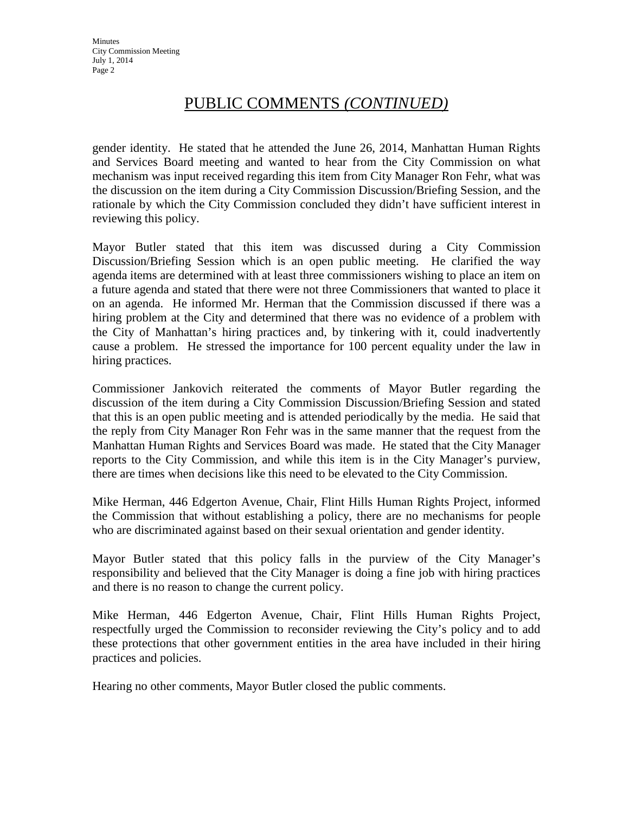## PUBLIC COMMENTS *(CONTINUED)*

gender identity. He stated that he attended the June 26, 2014, Manhattan Human Rights and Services Board meeting and wanted to hear from the City Commission on what mechanism was input received regarding this item from City Manager Ron Fehr, what was the discussion on the item during a City Commission Discussion/Briefing Session, and the rationale by which the City Commission concluded they didn't have sufficient interest in reviewing this policy.

Mayor Butler stated that this item was discussed during a City Commission Discussion/Briefing Session which is an open public meeting. He clarified the way agenda items are determined with at least three commissioners wishing to place an item on a future agenda and stated that there were not three Commissioners that wanted to place it on an agenda. He informed Mr. Herman that the Commission discussed if there was a hiring problem at the City and determined that there was no evidence of a problem with the City of Manhattan's hiring practices and, by tinkering with it, could inadvertently cause a problem. He stressed the importance for 100 percent equality under the law in hiring practices.

Commissioner Jankovich reiterated the comments of Mayor Butler regarding the discussion of the item during a City Commission Discussion/Briefing Session and stated that this is an open public meeting and is attended periodically by the media. He said that the reply from City Manager Ron Fehr was in the same manner that the request from the Manhattan Human Rights and Services Board was made. He stated that the City Manager reports to the City Commission, and while this item is in the City Manager's purview, there are times when decisions like this need to be elevated to the City Commission.

Mike Herman, 446 Edgerton Avenue, Chair, Flint Hills Human Rights Project, informed the Commission that without establishing a policy, there are no mechanisms for people who are discriminated against based on their sexual orientation and gender identity.

Mayor Butler stated that this policy falls in the purview of the City Manager's responsibility and believed that the City Manager is doing a fine job with hiring practices and there is no reason to change the current policy.

Mike Herman, 446 Edgerton Avenue, Chair, Flint Hills Human Rights Project, respectfully urged the Commission to reconsider reviewing the City's policy and to add these protections that other government entities in the area have included in their hiring practices and policies.

Hearing no other comments, Mayor Butler closed the public comments.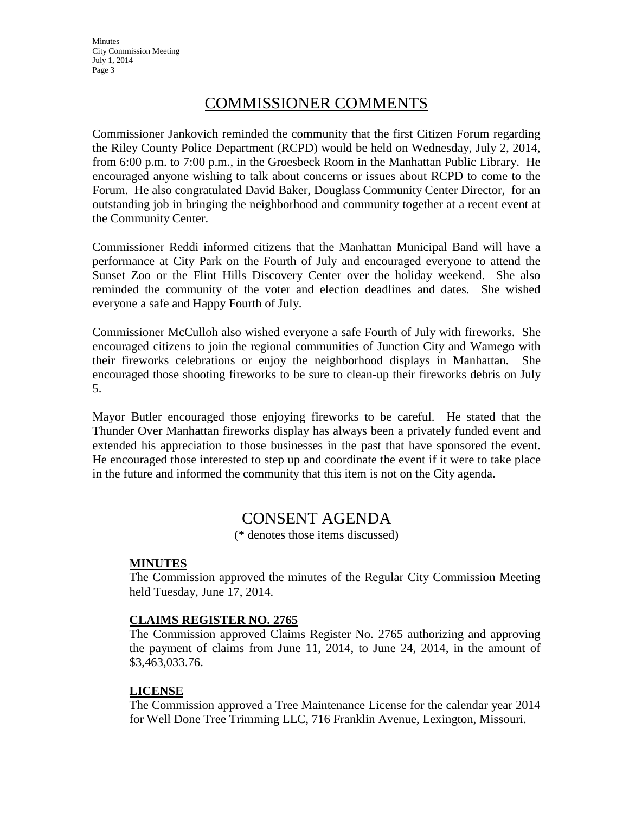**Minutes** City Commission Meeting July 1, 2014 Page 3

## COMMISSIONER COMMENTS

Commissioner Jankovich reminded the community that the first Citizen Forum regarding the Riley County Police Department (RCPD) would be held on Wednesday, July 2, 2014, from 6:00 p.m. to 7:00 p.m., in the Groesbeck Room in the Manhattan Public Library. He encouraged anyone wishing to talk about concerns or issues about RCPD to come to the Forum. He also congratulated David Baker, Douglass Community Center Director, for an outstanding job in bringing the neighborhood and community together at a recent event at the Community Center.

Commissioner Reddi informed citizens that the Manhattan Municipal Band will have a performance at City Park on the Fourth of July and encouraged everyone to attend the Sunset Zoo or the Flint Hills Discovery Center over the holiday weekend. She also reminded the community of the voter and election deadlines and dates. She wished everyone a safe and Happy Fourth of July.

Commissioner McCulloh also wished everyone a safe Fourth of July with fireworks. She encouraged citizens to join the regional communities of Junction City and Wamego with their fireworks celebrations or enjoy the neighborhood displays in Manhattan. She encouraged those shooting fireworks to be sure to clean-up their fireworks debris on July 5.

Mayor Butler encouraged those enjoying fireworks to be careful. He stated that the Thunder Over Manhattan fireworks display has always been a privately funded event and extended his appreciation to those businesses in the past that have sponsored the event. He encouraged those interested to step up and coordinate the event if it were to take place in the future and informed the community that this item is not on the City agenda.

### CONSENT AGENDA

(\* denotes those items discussed)

#### **MINUTES**

The Commission approved the minutes of the Regular City Commission Meeting held Tuesday, June 17, 2014.

#### **CLAIMS REGISTER NO. 2765**

The Commission approved Claims Register No. 2765 authorizing and approving the payment of claims from June 11, 2014, to June 24, 2014, in the amount of \$3,463,033.76.

#### **LICENSE**

The Commission approved a Tree Maintenance License for the calendar year 2014 for Well Done Tree Trimming LLC, 716 Franklin Avenue, Lexington, Missouri.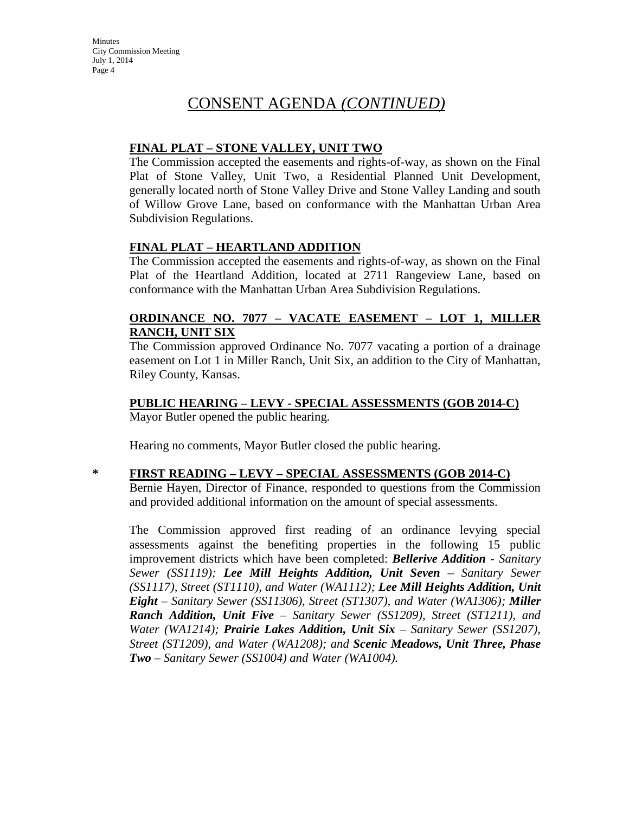#### **FINAL PLAT – STONE VALLEY, UNIT TWO**

The Commission accepted the easements and rights-of-way, as shown on the Final Plat of Stone Valley, Unit Two, a Residential Planned Unit Development, generally located north of Stone Valley Drive and Stone Valley Landing and south of Willow Grove Lane, based on conformance with the Manhattan Urban Area Subdivision Regulations.

### **FINAL PLAT – HEARTLAND ADDITION**

The Commission accepted the easements and rights-of-way, as shown on the Final Plat of the Heartland Addition, located at 2711 Rangeview Lane, based on conformance with the Manhattan Urban Area Subdivision Regulations.

#### **ORDINANCE NO. 7077 – VACATE EASEMENT – LOT 1, MILLER RANCH, UNIT SIX**

The Commission approved Ordinance No. 7077 vacating a portion of a drainage easement on Lot 1 in Miller Ranch, Unit Six, an addition to the City of Manhattan, Riley County, Kansas.

# **PUBLIC HEARING – LEVY - SPECIAL ASSESSMENTS (GOB 2014-C)**

Mayor Butler opened the public hearing.

Hearing no comments, Mayor Butler closed the public hearing.

### **\* FIRST READING – LEVY – SPECIAL ASSESSMENTS (GOB 2014-C)**

Bernie Hayen, Director of Finance, responded to questions from the Commission and provided additional information on the amount of special assessments.

The Commission approved first reading of an ordinance levying special assessments against the benefiting properties in the following 15 public improvement districts which have been completed: *Bellerive Addition - Sanitary Sewer (SS1119); Lee Mill Heights Addition, Unit Seven – Sanitary Sewer (SS1117), Street (ST1110), and Water (WA1112); Lee Mill Heights Addition, Unit Eight – Sanitary Sewer (SS11306), Street (ST1307), and Water (WA1306); Miller Ranch Addition, Unit Five – Sanitary Sewer (SS1209), Street (ST1211), and Water (WA1214); Prairie Lakes Addition, Unit Six – Sanitary Sewer (SS1207), Street (ST1209), and Water (WA1208); and Scenic Meadows, Unit Three, Phase Two – Sanitary Sewer (SS1004) and Water (WA1004).*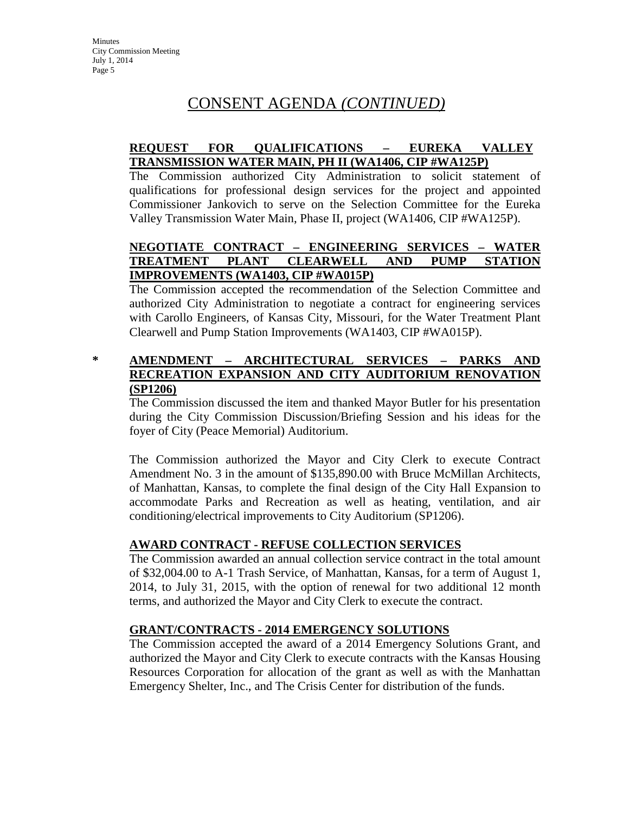#### **REQUEST FOR QUALIFICATIONS – EUREKA VALLEY TRANSMISSION WATER MAIN, PH II (WA1406, CIP #WA125P)**

The Commission authorized City Administration to solicit statement of qualifications for professional design services for the project and appointed Commissioner Jankovich to serve on the Selection Committee for the Eureka Valley Transmission Water Main, Phase II, project (WA1406, CIP #WA125P).

### **NEGOTIATE CONTRACT – ENGINEERING SERVICES – WATER TREATMENT PLANT CLEARWELL AND PUMP STATION IMPROVEMENTS (WA1403, CIP #WA015P)**

The Commission accepted the recommendation of the Selection Committee and authorized City Administration to negotiate a contract for engineering services with Carollo Engineers, of Kansas City, Missouri, for the Water Treatment Plant Clearwell and Pump Station Improvements (WA1403, CIP #WA015P).

#### **\* AMENDMENT – ARCHITECTURAL SERVICES – PARKS AND RECREATION EXPANSION AND CITY AUDITORIUM RENOVATION (SP1206)**

The Commission discussed the item and thanked Mayor Butler for his presentation during the City Commission Discussion/Briefing Session and his ideas for the foyer of City (Peace Memorial) Auditorium.

The Commission authorized the Mayor and City Clerk to execute Contract Amendment No. 3 in the amount of \$135,890.00 with Bruce McMillan Architects, of Manhattan, Kansas, to complete the final design of the City Hall Expansion to accommodate Parks and Recreation as well as heating, ventilation, and air conditioning/electrical improvements to City Auditorium (SP1206).

#### **AWARD CONTRACT - REFUSE COLLECTION SERVICES**

The Commission awarded an annual collection service contract in the total amount of \$32,004.00 to A-1 Trash Service, of Manhattan, Kansas, for a term of August 1, 2014, to July 31, 2015, with the option of renewal for two additional 12 month terms, and authorized the Mayor and City Clerk to execute the contract.

#### **GRANT/CONTRACTS - 2014 EMERGENCY SOLUTIONS**

The Commission accepted the award of a 2014 Emergency Solutions Grant, and authorized the Mayor and City Clerk to execute contracts with the Kansas Housing Resources Corporation for allocation of the grant as well as with the Manhattan Emergency Shelter, Inc., and The Crisis Center for distribution of the funds.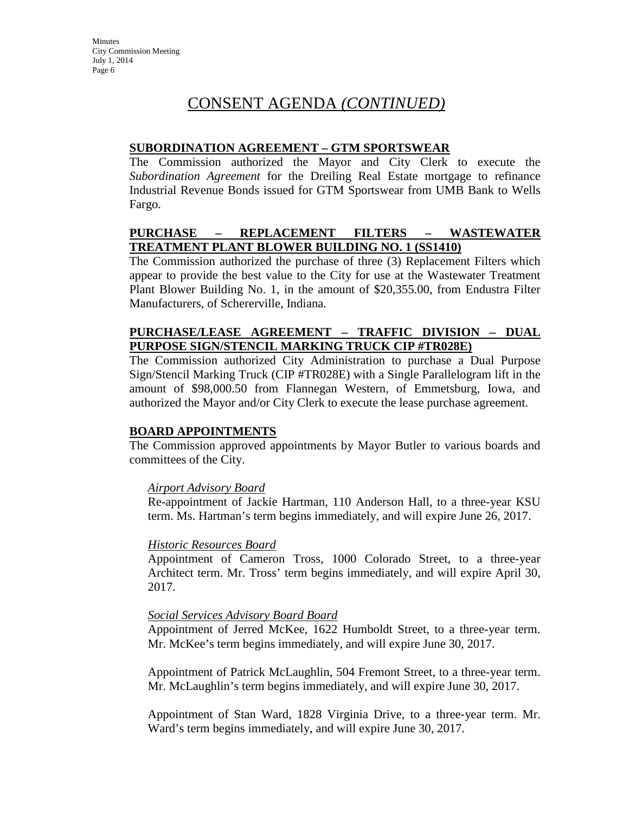#### **SUBORDINATION AGREEMENT – GTM SPORTSWEAR**

The Commission authorized the Mayor and City Clerk to execute the *Subordination Agreement* for the Dreiling Real Estate mortgage to refinance Industrial Revenue Bonds issued for GTM Sportswear from UMB Bank to Wells Fargo.

#### **PURCHASE – REPLACEMENT FILTERS – WASTEWATER TREATMENT PLANT BLOWER BUILDING NO. 1 (SS1410)**

The Commission authorized the purchase of three (3) Replacement Filters which appear to provide the best value to the City for use at the Wastewater Treatment Plant Blower Building No. 1, in the amount of \$20,355.00, from Endustra Filter Manufacturers, of Schererville, Indiana.

#### **PURCHASE/LEASE AGREEMENT – TRAFFIC DIVISION – DUAL PURPOSE SIGN/STENCIL MARKING TRUCK CIP #TR028E)**

The Commission authorized City Administration to purchase a Dual Purpose Sign/Stencil Marking Truck (CIP #TR028E) with a Single Parallelogram lift in the amount of \$98,000.50 from Flannegan Western, of Emmetsburg, Iowa, and authorized the Mayor and/or City Clerk to execute the lease purchase agreement.

#### **BOARD APPOINTMENTS**

The Commission approved appointments by Mayor Butler to various boards and committees of the City.

#### *Airport Advisory Board*

Re-appointment of Jackie Hartman, 110 Anderson Hall, to a three-year KSU term. Ms. Hartman's term begins immediately, and will expire June 26, 2017.

#### *Historic Resources Board*

Appointment of Cameron Tross, 1000 Colorado Street, to a three-year Architect term. Mr. Tross' term begins immediately, and will expire April 30, 2017.

#### *Social Services Advisory Board Board*

Appointment of Jerred McKee, 1622 Humboldt Street, to a three-year term. Mr. McKee's term begins immediately, and will expire June 30, 2017.

Appointment of Patrick McLaughlin, 504 Fremont Street, to a three-year term. Mr. McLaughlin's term begins immediately, and will expire June 30, 2017.

Appointment of Stan Ward, 1828 Virginia Drive, to a three-year term. Mr. Ward's term begins immediately, and will expire June 30, 2017.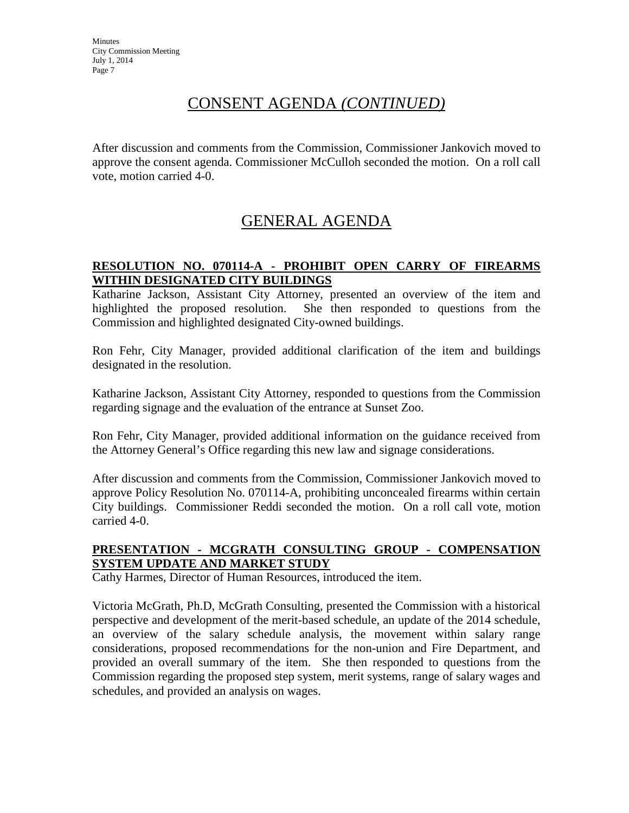After discussion and comments from the Commission, Commissioner Jankovich moved to approve the consent agenda. Commissioner McCulloh seconded the motion. On a roll call vote, motion carried 4-0.

# GENERAL AGENDA

### **RESOLUTION NO. 070114-A - PROHIBIT OPEN CARRY OF FIREARMS WITHIN DESIGNATED CITY BUILDINGS**

Katharine Jackson, Assistant City Attorney, presented an overview of the item and highlighted the proposed resolution. She then responded to questions from the Commission and highlighted designated City-owned buildings.

Ron Fehr, City Manager, provided additional clarification of the item and buildings designated in the resolution.

Katharine Jackson, Assistant City Attorney, responded to questions from the Commission regarding signage and the evaluation of the entrance at Sunset Zoo.

Ron Fehr, City Manager, provided additional information on the guidance received from the Attorney General's Office regarding this new law and signage considerations.

After discussion and comments from the Commission, Commissioner Jankovich moved to approve Policy Resolution No. 070114-A, prohibiting unconcealed firearms within certain City buildings. Commissioner Reddi seconded the motion. On a roll call vote, motion carried 4-0.

#### **PRESENTATION - MCGRATH CONSULTING GROUP - COMPENSATION SYSTEM UPDATE AND MARKET STUDY**

Cathy Harmes, Director of Human Resources, introduced the item.

Victoria McGrath, Ph.D, McGrath Consulting, presented the Commission with a historical perspective and development of the merit-based schedule, an update of the 2014 schedule, an overview of the salary schedule analysis, the movement within salary range considerations, proposed recommendations for the non-union and Fire Department, and provided an overall summary of the item. She then responded to questions from the Commission regarding the proposed step system, merit systems, range of salary wages and schedules, and provided an analysis on wages.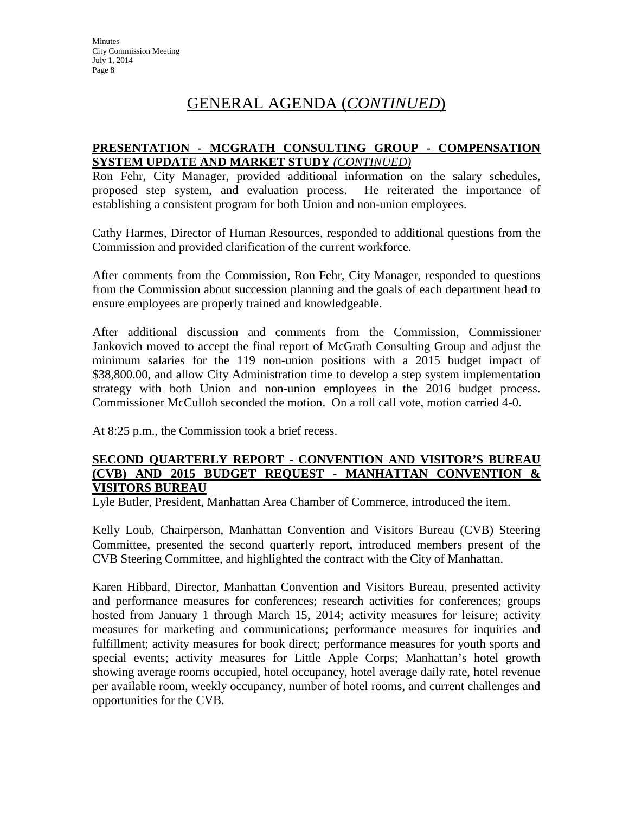## GENERAL AGENDA (*CONTINUED*)

#### **PRESENTATION - MCGRATH CONSULTING GROUP - COMPENSATION SYSTEM UPDATE AND MARKET STUDY** *(CONTINUED)*

Ron Fehr, City Manager, provided additional information on the salary schedules, proposed step system, and evaluation process. He reiterated the importance of establishing a consistent program for both Union and non-union employees.

Cathy Harmes, Director of Human Resources, responded to additional questions from the Commission and provided clarification of the current workforce.

After comments from the Commission, Ron Fehr, City Manager, responded to questions from the Commission about succession planning and the goals of each department head to ensure employees are properly trained and knowledgeable.

After additional discussion and comments from the Commission, Commissioner Jankovich moved to accept the final report of McGrath Consulting Group and adjust the minimum salaries for the 119 non-union positions with a 2015 budget impact of \$38,800.00, and allow City Administration time to develop a step system implementation strategy with both Union and non-union employees in the 2016 budget process. Commissioner McCulloh seconded the motion. On a roll call vote, motion carried 4-0.

At 8:25 p.m., the Commission took a brief recess.

#### **SECOND QUARTERLY REPORT - CONVENTION AND VISITOR'S BUREAU (CVB) AND 2015 BUDGET REQUEST - MANHATTAN CONVENTION & VISITORS BUREAU**

Lyle Butler, President, Manhattan Area Chamber of Commerce, introduced the item.

Kelly Loub, Chairperson, Manhattan Convention and Visitors Bureau (CVB) Steering Committee, presented the second quarterly report, introduced members present of the CVB Steering Committee, and highlighted the contract with the City of Manhattan.

Karen Hibbard, Director, Manhattan Convention and Visitors Bureau, presented activity and performance measures for conferences; research activities for conferences; groups hosted from January 1 through March 15, 2014; activity measures for leisure; activity measures for marketing and communications; performance measures for inquiries and fulfillment; activity measures for book direct; performance measures for youth sports and special events; activity measures for Little Apple Corps; Manhattan's hotel growth showing average rooms occupied, hotel occupancy, hotel average daily rate, hotel revenue per available room, weekly occupancy, number of hotel rooms, and current challenges and opportunities for the CVB.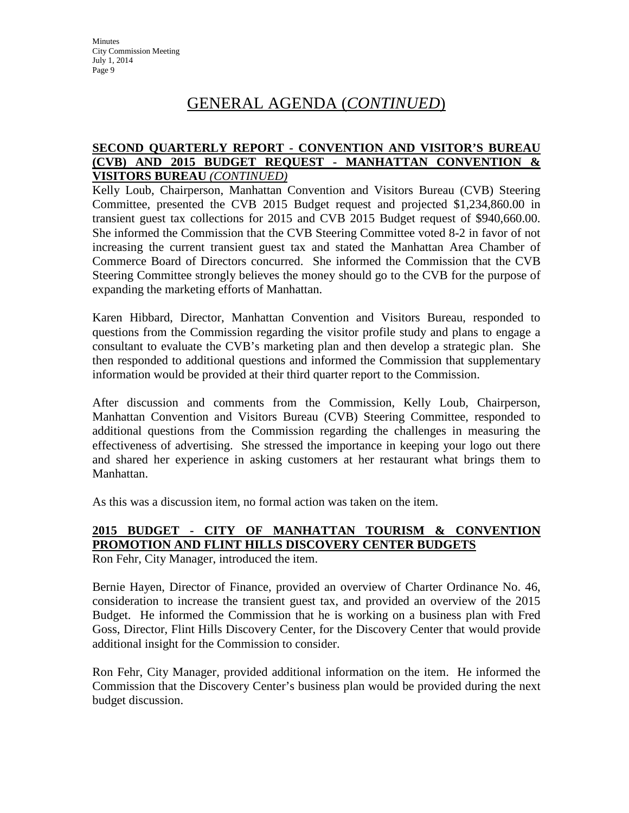**Minutes** City Commission Meeting July 1, 2014 Page 9

## GENERAL AGENDA (*CONTINUED*)

#### **SECOND QUARTERLY REPORT - CONVENTION AND VISITOR'S BUREAU (CVB) AND 2015 BUDGET REQUEST - MANHATTAN CONVENTION & VISITORS BUREAU** *(CONTINUED)*

Kelly Loub, Chairperson, Manhattan Convention and Visitors Bureau (CVB) Steering Committee, presented the CVB 2015 Budget request and projected \$1,234,860.00 in transient guest tax collections for 2015 and CVB 2015 Budget request of \$940,660.00. She informed the Commission that the CVB Steering Committee voted 8-2 in favor of not increasing the current transient guest tax and stated the Manhattan Area Chamber of Commerce Board of Directors concurred. She informed the Commission that the CVB Steering Committee strongly believes the money should go to the CVB for the purpose of expanding the marketing efforts of Manhattan.

Karen Hibbard, Director, Manhattan Convention and Visitors Bureau, responded to questions from the Commission regarding the visitor profile study and plans to engage a consultant to evaluate the CVB's marketing plan and then develop a strategic plan. She then responded to additional questions and informed the Commission that supplementary information would be provided at their third quarter report to the Commission.

After discussion and comments from the Commission, Kelly Loub, Chairperson, Manhattan Convention and Visitors Bureau (CVB) Steering Committee, responded to additional questions from the Commission regarding the challenges in measuring the effectiveness of advertising. She stressed the importance in keeping your logo out there and shared her experience in asking customers at her restaurant what brings them to Manhattan.

As this was a discussion item, no formal action was taken on the item.

### **2015 BUDGET - CITY OF MANHATTAN TOURISM & CONVENTION PROMOTION AND FLINT HILLS DISCOVERY CENTER BUDGETS**

Ron Fehr, City Manager, introduced the item.

Bernie Hayen, Director of Finance, provided an overview of Charter Ordinance No. 46, consideration to increase the transient guest tax, and provided an overview of the 2015 Budget. He informed the Commission that he is working on a business plan with Fred Goss, Director, Flint Hills Discovery Center, for the Discovery Center that would provide additional insight for the Commission to consider.

Ron Fehr, City Manager, provided additional information on the item. He informed the Commission that the Discovery Center's business plan would be provided during the next budget discussion.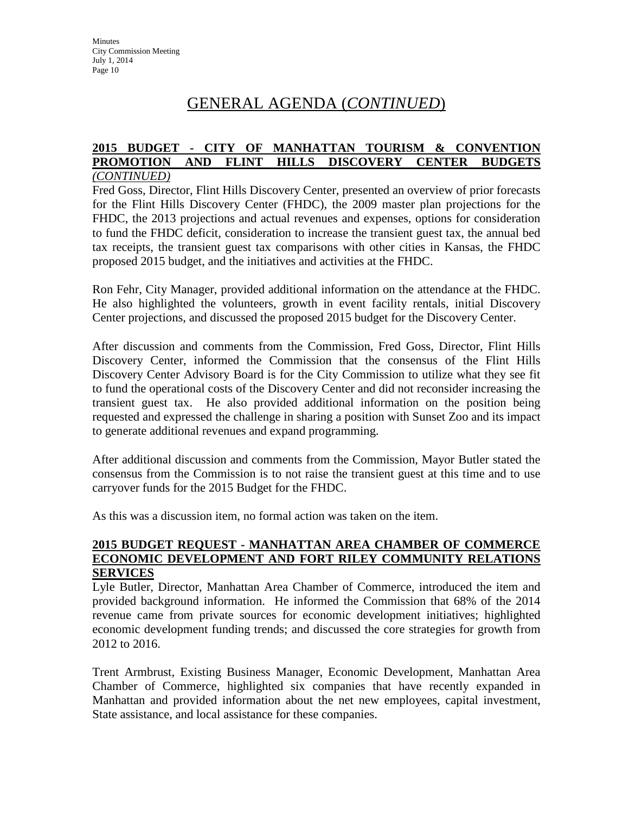## GENERAL AGENDA (*CONTINUED*)

#### **2015 BUDGET - CITY OF MANHATTAN TOURISM & CONVENTION PROMOTION AND FLINT HILLS DISCOVERY CENTER BUDGETS** *(CONTINUED)*

Fred Goss, Director, Flint Hills Discovery Center, presented an overview of prior forecasts for the Flint Hills Discovery Center (FHDC), the 2009 master plan projections for the FHDC, the 2013 projections and actual revenues and expenses, options for consideration to fund the FHDC deficit, consideration to increase the transient guest tax, the annual bed tax receipts, the transient guest tax comparisons with other cities in Kansas, the FHDC proposed 2015 budget, and the initiatives and activities at the FHDC.

Ron Fehr, City Manager, provided additional information on the attendance at the FHDC. He also highlighted the volunteers, growth in event facility rentals, initial Discovery Center projections, and discussed the proposed 2015 budget for the Discovery Center.

After discussion and comments from the Commission, Fred Goss, Director, Flint Hills Discovery Center, informed the Commission that the consensus of the Flint Hills Discovery Center Advisory Board is for the City Commission to utilize what they see fit to fund the operational costs of the Discovery Center and did not reconsider increasing the transient guest tax. He also provided additional information on the position being requested and expressed the challenge in sharing a position with Sunset Zoo and its impact to generate additional revenues and expand programming.

After additional discussion and comments from the Commission, Mayor Butler stated the consensus from the Commission is to not raise the transient guest at this time and to use carryover funds for the 2015 Budget for the FHDC.

As this was a discussion item, no formal action was taken on the item.

#### **2015 BUDGET REQUEST - MANHATTAN AREA CHAMBER OF COMMERCE ECONOMIC DEVELOPMENT AND FORT RILEY COMMUNITY RELATIONS SERVICES**

Lyle Butler, Director, Manhattan Area Chamber of Commerce, introduced the item and provided background information. He informed the Commission that 68% of the 2014 revenue came from private sources for economic development initiatives; highlighted economic development funding trends; and discussed the core strategies for growth from 2012 to 2016.

Trent Armbrust, Existing Business Manager, Economic Development, Manhattan Area Chamber of Commerce, highlighted six companies that have recently expanded in Manhattan and provided information about the net new employees, capital investment, State assistance, and local assistance for these companies.